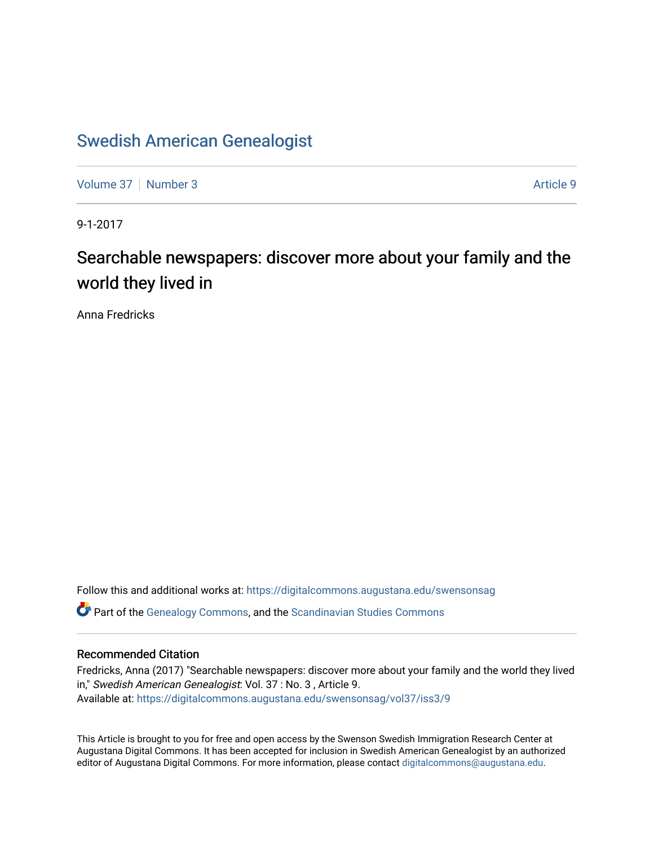## [Swedish American Genealogist](https://digitalcommons.augustana.edu/swensonsag)

[Volume 37](https://digitalcommons.augustana.edu/swensonsag/vol37) | [Number 3](https://digitalcommons.augustana.edu/swensonsag/vol37/iss3) Article 9

9-1-2017

# Searchable newspapers: discover more about your family and the world they lived in

Anna Fredricks

Follow this and additional works at: [https://digitalcommons.augustana.edu/swensonsag](https://digitalcommons.augustana.edu/swensonsag?utm_source=digitalcommons.augustana.edu%2Fswensonsag%2Fvol37%2Fiss3%2F9&utm_medium=PDF&utm_campaign=PDFCoverPages) 

Part of the [Genealogy Commons,](http://network.bepress.com/hgg/discipline/1342?utm_source=digitalcommons.augustana.edu%2Fswensonsag%2Fvol37%2Fiss3%2F9&utm_medium=PDF&utm_campaign=PDFCoverPages) and the [Scandinavian Studies Commons](http://network.bepress.com/hgg/discipline/485?utm_source=digitalcommons.augustana.edu%2Fswensonsag%2Fvol37%2Fiss3%2F9&utm_medium=PDF&utm_campaign=PDFCoverPages)

#### Recommended Citation

Fredricks, Anna (2017) "Searchable newspapers: discover more about your family and the world they lived in," Swedish American Genealogist: Vol. 37 : No. 3 , Article 9. Available at: [https://digitalcommons.augustana.edu/swensonsag/vol37/iss3/9](https://digitalcommons.augustana.edu/swensonsag/vol37/iss3/9?utm_source=digitalcommons.augustana.edu%2Fswensonsag%2Fvol37%2Fiss3%2F9&utm_medium=PDF&utm_campaign=PDFCoverPages) 

This Article is brought to you for free and open access by the Swenson Swedish Immigration Research Center at Augustana Digital Commons. It has been accepted for inclusion in Swedish American Genealogist by an authorized editor of Augustana Digital Commons. For more information, please contact [digitalcommons@augustana.edu.](mailto:digitalcommons@augustana.edu)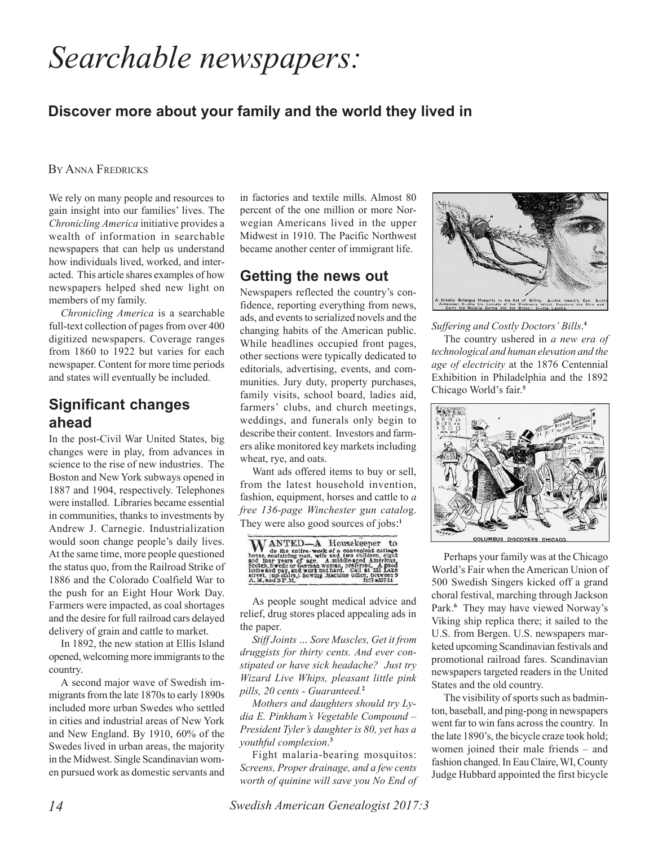# *Searchable newspapers:*

#### **Discover more about your family and the world they lived in**

BY ANNA FREDRICKS

We rely on many people and resources to gain insight into our families' lives. The *Chronicling America* initiative provides a wealth of information in searchable newspapers that can help us understand how individuals lived, worked, and interacted. This article shares examples of how newspapers helped shed new light on members of my family.

*Chronicling America* is a searchable full-text collection of pages from over 400 digitized newspapers. Coverage ranges from 1860 to 1922 but varies for each newspaper. Content for more time periods and states will eventually be included.

#### **Significant changes ahead**

In the post-Civil War United States, big changes were in play, from advances in science to the rise of new industries. The Boston and New York subways opened in 1887 and 1904, respectively. Telephones were installed. Libraries became essential in communities, thanks to investments by Andrew J. Carnegie. Industrialization would soon change people's daily lives. At the same time, more people questioned the status quo, from the Railroad Strike of 1886 and the Colorado Coalfield War to the push for an Eight Hour Work Day. Farmers were impacted, as coal shortages and the desire for full railroad cars delayed delivery of grain and cattle to market.

In 1892, the new station at Ellis Island opened, welcoming more immigrants to the country.

A second major wave of Swedish immigrants from the late 1870s to early 1890s included more urban Swedes who settled in cities and industrial areas of New York and New England. By 1910, 60% of the Swedes lived in urban areas, the majority in the Midwest. Single Scandinavian women pursued work as domestic servants and in factories and textile mills. Almost 80 percent of the one million or more Norwegian Americans lived in the upper Midwest in 1910. The Pacific Northwest became another center of immigrant life.

#### **Getting the news out**

Newspapers reflected the country's confidence, reporting everything from news, ads, and events to serialized novels and the changing habits of the American public. While headlines occupied front pages, other sections were typically dedicated to editorials, advertising, events, and communities. Jury duty, property purchases, family visits, school board, ladies aid, farmers' clubs, and church meetings, weddings, and funerals only begin to describe their content. Investors and farmers alike monitored key markets including wheat, rye, and oats.

Want ads offered items to buy or sell, from the latest household invention, fashion, equipment, horses and cattle to *a free 136-page Winchester gun catalo*g. They were also good sources of jobs: **1**



As people sought medical advice and relief, drug stores placed appealing ads in the paper.

*Stiff Joints … Sore Muscles, Get it from druggists for thirty cents. And ever constipated or have sick headache? Just try Wizard Live Whips, pleasant little pink pills, 20 cents - Guaranteed.***<sup>2</sup>**

*Mothers and daughters should try Lydia E. Pinkham's Vegetable Compound – President Tyler's daughter is 80, yet has a youthful complexion*. **3**

Fight malaria-bearing mosquitos: *Screens, Proper drainage, and a few cents worth of quinine will save you No End of*



*Suffering and Costly Doctors' Bills*. **4**

The country ushered in *a new era of technological and human elevation and the age of electricity* at the 1876 Centennial Exhibition in Philadelphia and the 1892 Chicago World's fair.**<sup>5</sup>**



Perhaps your family was at the Chicago World's Fair when the American Union of 500 Swedish Singers kicked off a grand choral festival, marching through Jackson Park.**<sup>6</sup>** They may have viewed Norway's Viking ship replica there; it sailed to the U.S. from Bergen. U.S. newspapers marketed upcoming Scandinavian festivals and promotional railroad fares. Scandinavian newspapers targeted readers in the United States and the old country.

The visibility of sports such as badminton, baseball, and ping-pong in newspapers went far to win fans across the country. In the late 1890's, the bicycle craze took hold; women joined their male friends – and fashion changed. In Eau Claire, WI, County Judge Hubbard appointed the first bicycle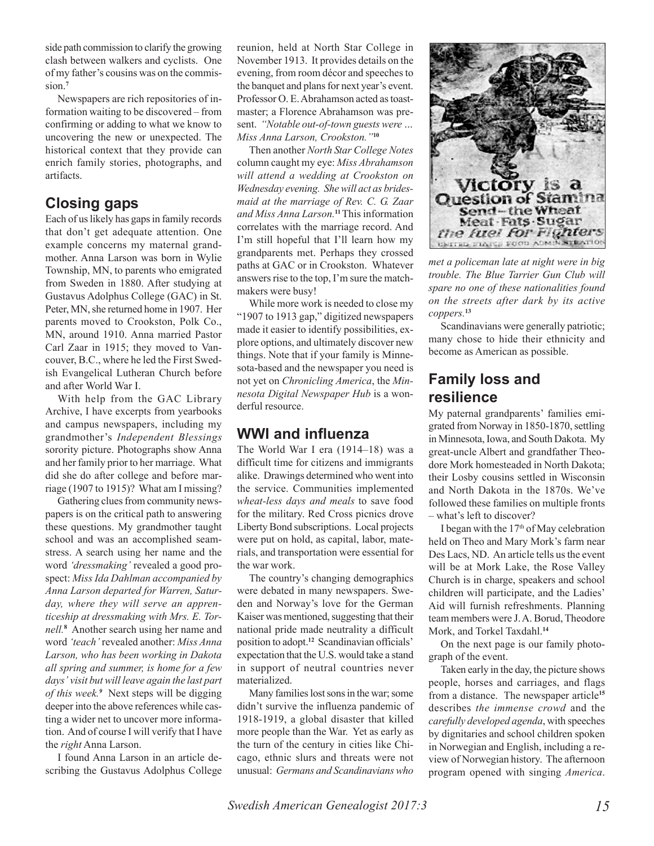side path commission to clarify the growing clash between walkers and cyclists. One of my father's cousins was on the commission.**<sup>7</sup>**

Newspapers are rich repositories of information waiting to be discovered – from confirming or adding to what we know to uncovering the new or unexpected. The historical context that they provide can enrich family stories, photographs, and artifacts.

#### **Closing gaps**

Each of us likely has gaps in family records that don't get adequate attention. One example concerns my maternal grandmother. Anna Larson was born in Wylie Township, MN, to parents who emigrated from Sweden in 1880. After studying at Gustavus Adolphus College (GAC) in St. Peter, MN, she returned home in 1907. Her parents moved to Crookston, Polk Co., MN, around 1910. Anna married Pastor Carl Zaar in 1915; they moved to Vancouver, B.C., where he led the First Swedish Evangelical Lutheran Church before and after World War I.

With help from the GAC Library Archive, I have excerpts from yearbooks and campus newspapers, including my grandmother's *Independent Blessings* sorority picture. Photographs show Anna and her family prior to her marriage. What did she do after college and before marriage (1907 to 1915)? What am I missing?

Gathering clues from community newspapers is on the critical path to answering these questions. My grandmother taught school and was an accomplished seamstress. A search using her name and the word *'dressmaking'* revealed a good prospect: *Miss Ida Dahlman accompanied by Anna Larson departed for Warren, Saturday, where they will serve an apprenticeship at dressmaking with Mrs. E. Tornell.***<sup>8</sup>** Another search using her name and word *'teach'* revealed another: *Miss Anna Larson, who has been working in Dakota all spring and summer, is home for a few days' visit but will leave again the last part of this week.<sup>9</sup>* Next steps will be digging deeper into the above references while casting a wider net to uncover more information. And of course I will verify that I have the *right* Anna Larson.

I found Anna Larson in an article describing the Gustavus Adolphus College

reunion, held at North Star College in November 1913. It provides details on the evening, from room décor and speeches to the banquet and plans for next year's event. Professor O. E. Abrahamson acted as toastmaster; a Florence Abrahamson was present. *"Notable out-of-town guests were … Miss Anna Larson, Crookston."***<sup>10</sup>**

Then another *North Star College Notes* column caught my eye: *Miss Abrahamson will attend a wedding at Crookston on Wednesday evening. She will act as bridesmaid at the marriage of Rev. C. G. Zaar and Miss Anna Larson.***11** This information correlates with the marriage record. And I'm still hopeful that I'll learn how my grandparents met. Perhaps they crossed paths at GAC or in Crookston. Whatever answers rise to the top, I'm sure the matchmakers were busy!

While more work is needed to close my "1907 to 1913 gap," digitized newspapers made it easier to identify possibilities, explore options, and ultimately discover new things. Note that if your family is Minnesota-based and the newspaper you need is not yet on *Chronicling America*, the *Minnesota Digital Newspaper Hub* is a wonderful resource.

#### **WWI and influenza**

The World War I era (1914–18) was a difficult time for citizens and immigrants alike. Drawings determined who went into the service. Communities implemented *wheat-less days and meals* to save food for the military. Red Cross picnics drove Liberty Bond subscriptions. Local projects were put on hold, as capital, labor, materials, and transportation were essential for the war work.

The country's changing demographics were debated in many newspapers. Sweden and Norway's love for the German Kaiser was mentioned, suggesting that their national pride made neutrality a difficult position to adopt.**12** Scandinavian officials' expectation that the U.S. would take a stand in support of neutral countries never materialized.

Many families lost sons in the war; some didn't survive the influenza pandemic of 1918-1919, a global disaster that killed more people than the War. Yet as early as the turn of the century in cities like Chicago, ethnic slurs and threats were not unusual: *Germans and Scandinavians who*



*met a policeman late at night were in big trouble. The Blue Tarrier Gun Club will spare no one of these nationalities found on the streets after dark by its active coppers.***<sup>13</sup>**

Scandinavians were generally patriotic; many chose to hide their ethnicity and become as American as possible.

#### **Family loss and resilience**

My paternal grandparents' families emigrated from Norway in 1850-1870, settling in Minnesota, Iowa, and South Dakota. My great-uncle Albert and grandfather Theodore Mork homesteaded in North Dakota; their Losby cousins settled in Wisconsin and North Dakota in the 1870s. We've followed these families on multiple fronts – what's left to discover?

I began with the  $17<sup>th</sup>$  of May celebration held on Theo and Mary Mork's farm near Des Lacs, ND. An article tells us the event will be at Mork Lake, the Rose Valley Church is in charge, speakers and school children will participate, and the Ladies' Aid will furnish refreshments. Planning team members were J. A. Borud, Theodore Mork, and Torkel Taxdahl.**<sup>14</sup>**

On the next page is our family photograph of the event.

Taken early in the day, the picture shows people, horses and carriages, and flags from a distance. The newspaper article**<sup>15</sup>** describes *the immense crowd* and the *carefully developed agenda*, with speeches by dignitaries and school children spoken in Norwegian and English, including a review of Norwegian history. The afternoon program opened with singing *America*.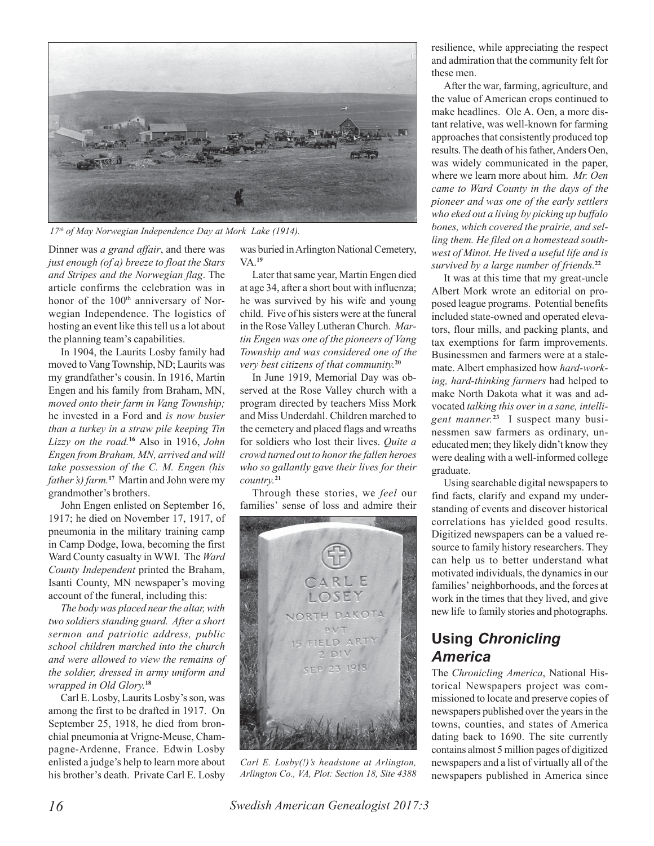

*17th of May Norwegian Independence Day at Mork Lake (1914).*

Dinner was *a grand affair*, and there was *just enough (of a) breeze to float the Stars and Stripes and the Norwegian flag*. The article confirms the celebration was in honor of the 100<sup>th</sup> anniversary of Norwegian Independence. The logistics of hosting an event like this tell us a lot about the planning team's capabilities.

In 1904, the Laurits Losby family had moved to Vang Township, ND; Laurits was my grandfather's cousin. In 1916, Martin Engen and his family from Braham, MN, *moved onto their farm in Vang Township;* he invested in a Ford and *is now busier than a turkey in a straw pile keeping Tin Lizzy on the road.***<sup>16</sup>** Also in 1916, *John Engen from Braham, MN, arrived and will take possession of the C. M. Engen (his father's) farm.***<sup>17</sup>**Martin and John were my grandmother's brothers.

John Engen enlisted on September 16, 1917; he died on November 17, 1917, of pneumonia in the military training camp in Camp Dodge, Iowa, becoming the first Ward County casualty in WWI. The *Ward County Independent* printed the Braham, Isanti County, MN newspaper's moving account of the funeral, including this:

*The body was placed near the altar, with two soldiers standing guard. After a short sermon and patriotic address, public school children marched into the church and were allowed to view the remains of the soldier, dressed in army uniform and wrapped in Old Glory.***<sup>18</sup>**

Carl E. Losby, Laurits Losby's son, was among the first to be drafted in 1917. On September 25, 1918, he died from bronchial pneumonia at Vrigne-Meuse, Champagne-Ardenne, France. Edwin Losby enlisted a judge's help to learn more about his brother's death. Private Carl E. Losby

was buried in Arlington National Cemetery, VA.**<sup>19</sup>**

Later that same year, Martin Engen died at age 34, after a short bout with influenza; he was survived by his wife and young child. Five of his sisters were at the funeral in the Rose Valley Lutheran Church. *Martin Engen was one of the pioneers of Vang Township and was considered one of the very best citizens of that community.***<sup>20</sup>**

In June 1919, Memorial Day was observed at the Rose Valley church with a program directed by teachers Miss Mork and Miss Underdahl. Children marched to the cemetery and placed flags and wreaths for soldiers who lost their lives. *Quite a crowd turned out to honor the fallen heroes who so gallantly gave their lives for their country.***<sup>21</sup>**

Through these stories, we *feel* our families' sense of loss and admire their



*Carl E. Losby(!)'s headstone at Arlington, Arlington Co., VA, Plot: Section 18, Site 4388*

resilience, while appreciating the respect and admiration that the community felt for these men.

After the war, farming, agriculture, and the value of American crops continued to make headlines. Ole A. Oen, a more distant relative, was well-known for farming approaches that consistently produced top results. The death of his father, Anders Oen, was widely communicated in the paper, where we learn more about him. *Mr. Oen came to Ward County in the days of the pioneer and was one of the early settlers who eked out a living by picking up buffalo bones, which covered the prairie, and selling them. He filed on a homestead southwest of Minot. He lived a useful life and is survived by a large number of friends.***<sup>22</sup>**

It was at this time that my great-uncle Albert Mork wrote an editorial on proposed league programs. Potential benefits included state-owned and operated elevators, flour mills, and packing plants, and tax exemptions for farm improvements. Businessmen and farmers were at a stalemate. Albert emphasized how *hard-working, hard-thinking farmers* had helped to make North Dakota what it was and advocated *talking this over in a sane, intelligent manner.***23**I suspect many businessmen saw farmers as ordinary, uneducated men; they likely didn't know they were dealing with a well-informed college graduate.

Using searchable digital newspapers to find facts, clarify and expand my understanding of events and discover historical correlations has yielded good results. Digitized newspapers can be a valued resource to family history researchers. They can help us to better understand what motivated individuals, the dynamics in our families' neighborhoods, and the forces at work in the times that they lived, and give new life to family stories and photographs.

### **Using** *Chronicling America*

The *Chronicling America*, National Historical Newspapers project was commissioned to locate and preserve copies of newspapers published over the years in the towns, counties, and states of America dating back to 1690. The site currently contains almost 5 million pages of digitized newspapers and a list of virtually all of the newspapers published in America since